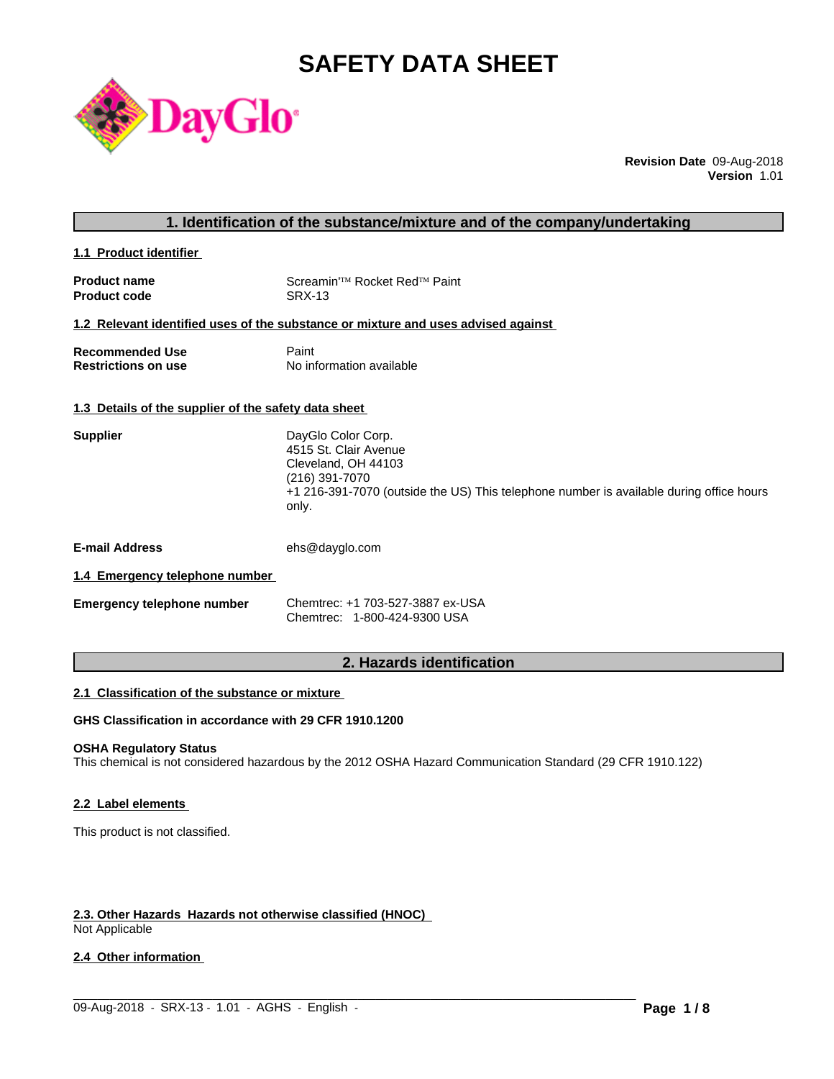# **SAFETY DATA SHEET**



**Revision Date** 09-Aug-2018 **Version** 1.01

**1.1 Product identifier** 

| <b>Product name</b> | Screamin <sup>'™</sup> Rocket Red <sup>™</sup> Paint |
|---------------------|------------------------------------------------------|
| <b>Product code</b> | SRX-13                                               |

#### **1.2 Relevant identified uses of the substance or mixture and uses advised against**

| <b>Recommended Use</b>     | Paint                    |
|----------------------------|--------------------------|
| <b>Restrictions on use</b> | No information available |

# **1.3 Details of the supplier of the safety data sheet**

| DayGlo Color Corp.<br>4515 St. Clair Avenue                                             |
|-----------------------------------------------------------------------------------------|
|                                                                                         |
| Cleveland, OH 44103                                                                     |
| (216) 391-7070                                                                          |
| +1 216-391-7070 (outside the US) This telephone number is available during office hours |
|                                                                                         |
|                                                                                         |

**E-mail Address** ehs@dayglo.com

# **1.4 Emergency telephone number**

| <b>Emergency telephone number</b> | Chemtrec: +1 703-527-3887 ex-USA |
|-----------------------------------|----------------------------------|
|                                   | Chemtrec: 1-800-424-9300 USA     |

# **2. Hazards identification**

#### **2.1 Classification of the substance or mixture**

# **GHS Classification in accordance with 29 CFR 1910.1200**

# **OSHA Regulatory Status**

This chemical is not considered hazardous by the 2012 OSHA Hazard Communication Standard (29 CFR 1910.122)

 $\_$  ,  $\_$  ,  $\_$  ,  $\_$  ,  $\_$  ,  $\_$  ,  $\_$  ,  $\_$  ,  $\_$  ,  $\_$  ,  $\_$  ,  $\_$  ,  $\_$  ,  $\_$  ,  $\_$  ,  $\_$  ,  $\_$  ,  $\_$  ,  $\_$  ,  $\_$  ,  $\_$  ,  $\_$  ,  $\_$  ,  $\_$  ,  $\_$  ,  $\_$  ,  $\_$  ,  $\_$  ,  $\_$  ,  $\_$  ,  $\_$  ,  $\_$  ,  $\_$  ,  $\_$  ,  $\_$  ,  $\_$  ,  $\_$  ,

#### **2.2 Label elements**

This product is not classified.

# **2.3. Other Hazards Hazards not otherwise classified (HNOC)**

Not Applicable

# **2.4 Other information**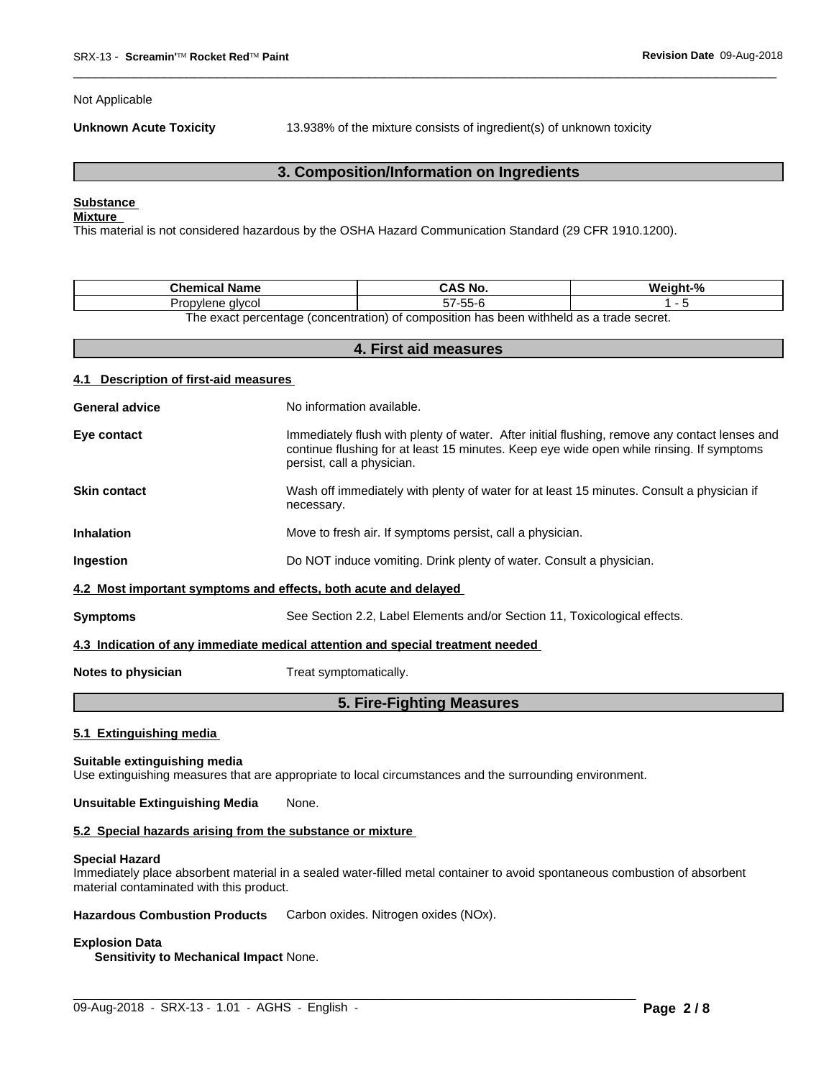Not Applicable

**Unknown Acute Toxicity** 13.938% of the mixture consists of ingredient(s) of unknown toxicity

 $\overline{\phantom{a}}$  ,  $\overline{\phantom{a}}$  ,  $\overline{\phantom{a}}$  ,  $\overline{\phantom{a}}$  ,  $\overline{\phantom{a}}$  ,  $\overline{\phantom{a}}$  ,  $\overline{\phantom{a}}$  ,  $\overline{\phantom{a}}$  ,  $\overline{\phantom{a}}$  ,  $\overline{\phantom{a}}$  ,  $\overline{\phantom{a}}$  ,  $\overline{\phantom{a}}$  ,  $\overline{\phantom{a}}$  ,  $\overline{\phantom{a}}$  ,  $\overline{\phantom{a}}$  ,  $\overline{\phantom{a}}$ 

# **3. Composition/Information on Ingredients**

# **Substance**

# **Mixture**

This material is not considered hazardous by the OSHA Hazard Communication Standard (29 CFR 1910.1200).

| Chemical Name                                                                           | CAS<br>`5 NO.    | $\mathbf{a}$<br>Maiahl |  |  |
|-----------------------------------------------------------------------------------------|------------------|------------------------|--|--|
| alvcol<br>Jron<br>ovlene<br>ັບເ                                                         | $- -$<br>--<br>ີ |                        |  |  |
| The exact perceptage (concentration) of composition has been withhold as a trade coaret |                  |                        |  |  |

The exact percentage (concentration) of composition has been withheld as a trade secret.

| 4. First aid measures                 |                                                                                                                                                                                                                         |  |  |  |
|---------------------------------------|-------------------------------------------------------------------------------------------------------------------------------------------------------------------------------------------------------------------------|--|--|--|
| 4.1 Description of first-aid measures |                                                                                                                                                                                                                         |  |  |  |
| <b>General advice</b>                 | No information available.                                                                                                                                                                                               |  |  |  |
| Eye contact                           | Immediately flush with plenty of water. After initial flushing, remove any contact lenses and<br>continue flushing for at least 15 minutes. Keep eye wide open while rinsing. If symptoms<br>persist, call a physician. |  |  |  |
| <b>Skin contact</b>                   | Wash off immediately with plenty of water for at least 15 minutes. Consult a physician if<br>necessary.                                                                                                                 |  |  |  |
| <b>Inhalation</b>                     | Move to fresh air. If symptoms persist, call a physician.                                                                                                                                                               |  |  |  |
| Ingestion                             | Do NOT induce vomiting. Drink plenty of water. Consult a physician.                                                                                                                                                     |  |  |  |
|                                       | 4.2 Most important symptoms and effects, both acute and delayed                                                                                                                                                         |  |  |  |
| <b>Symptoms</b>                       | See Section 2.2, Label Elements and/or Section 11, Toxicological effects.                                                                                                                                               |  |  |  |
|                                       | 4.3 Indication of any immediate medical attention and special treatment needed                                                                                                                                          |  |  |  |
| Notes to physician                    | Treat symptomatically.                                                                                                                                                                                                  |  |  |  |
|                                       | 5. Fire-Fighting Measures                                                                                                                                                                                               |  |  |  |

# **5.1 Extinguishing media**

#### **Suitable extinguishing media**

Use extinguishing measures that are appropriate to local circumstances and the surrounding environment.

# **Unsuitable Extinguishing Media** None.

## **5.2 Special hazards arising from the substance or mixture**

#### **Special Hazard**

Immediately place absorbent material in a sealed water-filled metal container to avoid spontaneous combustion of absorbent material contaminated with this product.

 $\_$  ,  $\_$  ,  $\_$  ,  $\_$  ,  $\_$  ,  $\_$  ,  $\_$  ,  $\_$  ,  $\_$  ,  $\_$  ,  $\_$  ,  $\_$  ,  $\_$  ,  $\_$  ,  $\_$  ,  $\_$  ,  $\_$  ,  $\_$  ,  $\_$  ,  $\_$  ,  $\_$  ,  $\_$  ,  $\_$  ,  $\_$  ,  $\_$  ,  $\_$  ,  $\_$  ,  $\_$  ,  $\_$  ,  $\_$  ,  $\_$  ,  $\_$  ,  $\_$  ,  $\_$  ,  $\_$  ,  $\_$  ,  $\_$  ,

**Hazardous Combustion Products** Carbon oxides. Nitrogen oxides (NOx).

#### **Explosion Data**

**Sensitivity to Mechanical Impact** None.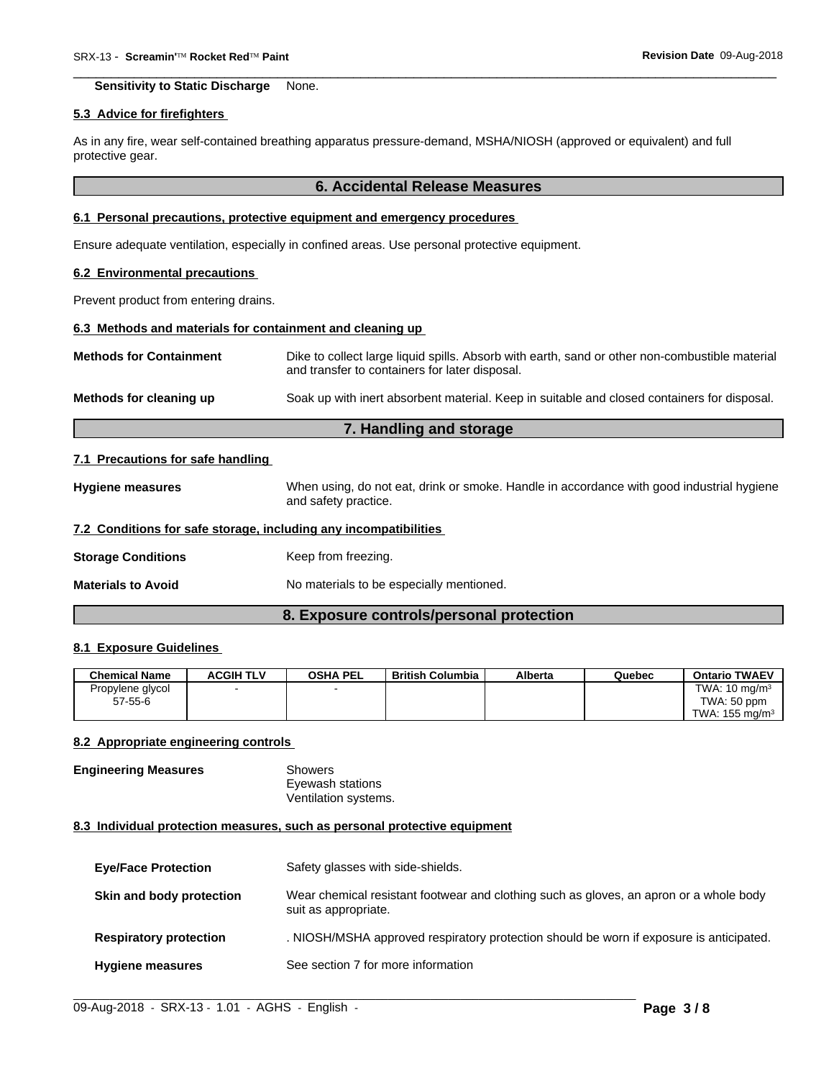**Sensitivity to Static Discharge** None.

#### **5.3 Advice for firefighters**

As in any fire, wear self-contained breathing apparatus pressure-demand, MSHA/NIOSH (approved or equivalent) and full protective gear.

## **6. Accidental Release Measures**

 $\overline{\phantom{a}}$  ,  $\overline{\phantom{a}}$  ,  $\overline{\phantom{a}}$  ,  $\overline{\phantom{a}}$  ,  $\overline{\phantom{a}}$  ,  $\overline{\phantom{a}}$  ,  $\overline{\phantom{a}}$  ,  $\overline{\phantom{a}}$  ,  $\overline{\phantom{a}}$  ,  $\overline{\phantom{a}}$  ,  $\overline{\phantom{a}}$  ,  $\overline{\phantom{a}}$  ,  $\overline{\phantom{a}}$  ,  $\overline{\phantom{a}}$  ,  $\overline{\phantom{a}}$  ,  $\overline{\phantom{a}}$ 

# **6.1 Personal precautions, protective equipment and emergency procedures**

Ensure adequate ventilation, especially in confined areas. Use personal protective equipment.

### **6.2 Environmental precautions**

Prevent product from entering drains.

# **6.3 Methods and materials for containment and cleaning up**

| <b>Methods for Containment</b> | Dike to collect large liquid spills. Absorb with earth, sand or other non-combustible material<br>and transfer to containers for later disposal. |
|--------------------------------|--------------------------------------------------------------------------------------------------------------------------------------------------|
| Methods for cleaning up        | Soak up with inert absorbent material. Keep in suitable and closed containers for disposal.                                                      |

# **7. Handling and storage**

### **7.1 Precautions for safe handling**

**Hygiene measures** When using, do not eat, drink or smoke. Handle in accordance with good industrial hygiene and safety practice.

# **7.2 Conditions for safe storage, including any incompatibilities**

**Storage Conditions** Keep from freezing.

**Materials to Avoid** No materials to be especially mentioned.

# **8. Exposure controls/personal protection**

# **8.1 Exposure Guidelines**

| <b>Chemical Name</b> | <b>ACGIH TLV</b> | <b>OSHA PEL</b> | <b>British Columbia</b> | Alberta | Quebec | <b>Ontario TWAEV</b>      |
|----------------------|------------------|-----------------|-------------------------|---------|--------|---------------------------|
| Propylene glycol     |                  |                 |                         |         |        | TWA: $10 \text{ mg/m}^3$  |
| $57 - 55 - 6$        |                  |                 |                         |         |        | TWA: 50 ppm               |
|                      |                  |                 |                         |         |        | TWA: $155 \text{ mg/m}^3$ |

#### **8.2 Appropriate engineering controls**

**Engineering Measures** Showers Eyewash stations Ventilation systems.

#### **8.3 Individual protection measures, such as personal protective equipment**

| <b>Eye/Face Protection</b>    | Safety glasses with side-shields.                                                                              |
|-------------------------------|----------------------------------------------------------------------------------------------------------------|
| Skin and body protection      | Wear chemical resistant footwear and clothing such as gloves, an apron or a whole body<br>suit as appropriate. |
| <b>Respiratory protection</b> | . NIOSH/MSHA approved respiratory protection should be worn if exposure is anticipated.                        |
| <b>Hygiene measures</b>       | See section 7 for more information                                                                             |

 $\_$  ,  $\_$  ,  $\_$  ,  $\_$  ,  $\_$  ,  $\_$  ,  $\_$  ,  $\_$  ,  $\_$  ,  $\_$  ,  $\_$  ,  $\_$  ,  $\_$  ,  $\_$  ,  $\_$  ,  $\_$  ,  $\_$  ,  $\_$  ,  $\_$  ,  $\_$  ,  $\_$  ,  $\_$  ,  $\_$  ,  $\_$  ,  $\_$  ,  $\_$  ,  $\_$  ,  $\_$  ,  $\_$  ,  $\_$  ,  $\_$  ,  $\_$  ,  $\_$  ,  $\_$  ,  $\_$  ,  $\_$  ,  $\_$  ,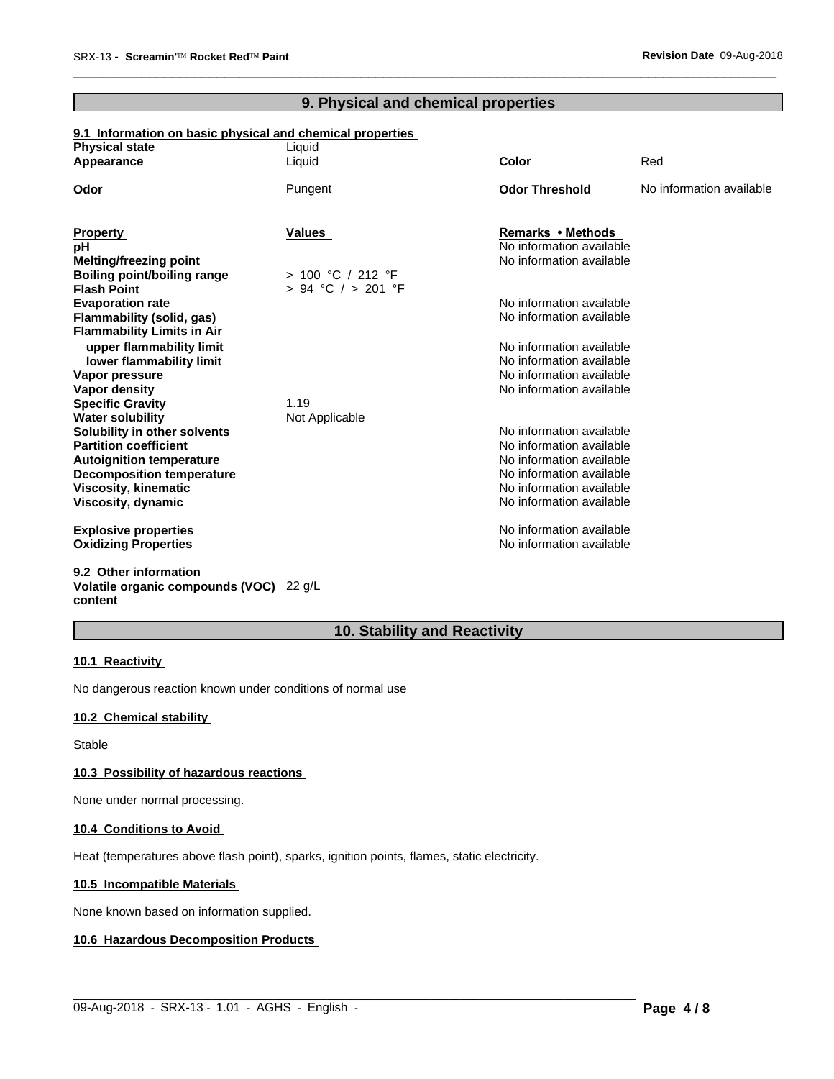# **9. Physical and chemical properties**

 $\overline{\phantom{a}}$  ,  $\overline{\phantom{a}}$  ,  $\overline{\phantom{a}}$  ,  $\overline{\phantom{a}}$  ,  $\overline{\phantom{a}}$  ,  $\overline{\phantom{a}}$  ,  $\overline{\phantom{a}}$  ,  $\overline{\phantom{a}}$  ,  $\overline{\phantom{a}}$  ,  $\overline{\phantom{a}}$  ,  $\overline{\phantom{a}}$  ,  $\overline{\phantom{a}}$  ,  $\overline{\phantom{a}}$  ,  $\overline{\phantom{a}}$  ,  $\overline{\phantom{a}}$  ,  $\overline{\phantom{a}}$ 

# **9.1 Information on basic physical and chemical properties**

| <b>Physical state</b>                                               | Liquid             |                                                      |                          |
|---------------------------------------------------------------------|--------------------|------------------------------------------------------|--------------------------|
| Appearance                                                          | Liquid             | <b>Color</b>                                         | Red                      |
| Odor                                                                | Pungent            | <b>Odor Threshold</b>                                | No information available |
|                                                                     |                    |                                                      |                          |
| <b>Property</b><br>рH                                               | <b>Values</b>      | Remarks • Methods<br>No information available        |                          |
|                                                                     |                    | No information available                             |                          |
| <b>Melting/freezing point</b><br><b>Boiling point/boiling range</b> | > 100 °C / 212 °F  |                                                      |                          |
| <b>Flash Point</b>                                                  | > 94 °C / > 201 °F |                                                      |                          |
| <b>Evaporation rate</b>                                             |                    | No information available                             |                          |
| Flammability (solid, gas)                                           |                    | No information available                             |                          |
| <b>Flammability Limits in Air</b>                                   |                    |                                                      |                          |
| upper flammability limit                                            |                    | No information available                             |                          |
| lower flammability limit                                            |                    | No information available                             |                          |
| Vapor pressure                                                      |                    | No information available                             |                          |
| Vapor density                                                       |                    | No information available                             |                          |
| <b>Specific Gravity</b>                                             | 1.19               |                                                      |                          |
| <b>Water solubility</b>                                             | Not Applicable     |                                                      |                          |
| Solubility in other solvents                                        |                    | No information available                             |                          |
| <b>Partition coefficient</b>                                        |                    | No information available<br>No information available |                          |
| <b>Autoignition temperature</b><br><b>Decomposition temperature</b> |                    | No information available                             |                          |
| <b>Viscosity, kinematic</b>                                         |                    | No information available                             |                          |
| Viscosity, dynamic                                                  |                    | No information available                             |                          |
|                                                                     |                    |                                                      |                          |
| <b>Explosive properties</b>                                         |                    | No information available                             |                          |
| <b>Oxidizing Properties</b>                                         |                    | No information available                             |                          |
|                                                                     |                    |                                                      |                          |

**9.2 Other information Volatile organic compounds (VOC)** 22 g/L **content**

# **10. Stability and Reactivity**

 $\_$  ,  $\_$  ,  $\_$  ,  $\_$  ,  $\_$  ,  $\_$  ,  $\_$  ,  $\_$  ,  $\_$  ,  $\_$  ,  $\_$  ,  $\_$  ,  $\_$  ,  $\_$  ,  $\_$  ,  $\_$  ,  $\_$  ,  $\_$  ,  $\_$  ,  $\_$  ,  $\_$  ,  $\_$  ,  $\_$  ,  $\_$  ,  $\_$  ,  $\_$  ,  $\_$  ,  $\_$  ,  $\_$  ,  $\_$  ,  $\_$  ,  $\_$  ,  $\_$  ,  $\_$  ,  $\_$  ,  $\_$  ,  $\_$  ,

# **10.1 Reactivity**

No dangerous reaction known under conditions of normal use

## **10.2 Chemical stability**

Stable

# **10.3 Possibility of hazardous reactions**

None under normal processing.

# **10.4 Conditions to Avoid**

Heat (temperatures above flash point), sparks, ignition points, flames, static electricity.

# **10.5 Incompatible Materials**

None known based on information supplied.

# **10.6 Hazardous Decomposition Products**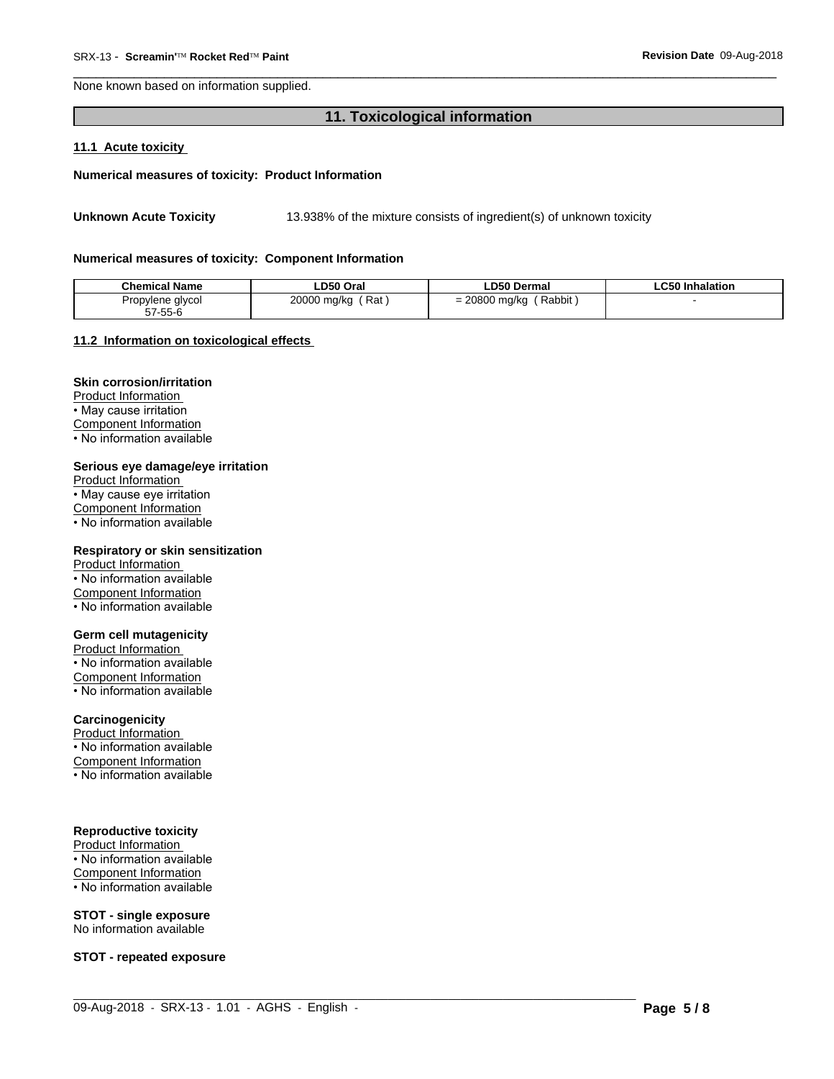None known based on information supplied.

# **11. Toxicological information**

 $\overline{\phantom{a}}$  ,  $\overline{\phantom{a}}$  ,  $\overline{\phantom{a}}$  ,  $\overline{\phantom{a}}$  ,  $\overline{\phantom{a}}$  ,  $\overline{\phantom{a}}$  ,  $\overline{\phantom{a}}$  ,  $\overline{\phantom{a}}$  ,  $\overline{\phantom{a}}$  ,  $\overline{\phantom{a}}$  ,  $\overline{\phantom{a}}$  ,  $\overline{\phantom{a}}$  ,  $\overline{\phantom{a}}$  ,  $\overline{\phantom{a}}$  ,  $\overline{\phantom{a}}$  ,  $\overline{\phantom{a}}$ 

#### **11.1 Acute toxicity**

#### **Numerical measures of toxicity: Product Information**

Unknown Acute Toxicity 13.938% of the mixture consists of ingredient(s) of unknown toxicity

#### **Numerical measures of toxicity: Component Information**

| <b>Chemical Name</b>          | LD50 Oral                      | ∟D50 Dermal                            | .C50 Inhalation |
|-------------------------------|--------------------------------|----------------------------------------|-----------------|
| Propylene glycol              | 20000 ma/ka<br>Rat<br>.<br>. . | 20800 ma/ka<br>Rabbit<br>-<br>=<br>. . |                 |
| $  \sim$<br>$-7$<br>ა / -55-ს |                                |                                        |                 |

 $\_$  ,  $\_$  ,  $\_$  ,  $\_$  ,  $\_$  ,  $\_$  ,  $\_$  ,  $\_$  ,  $\_$  ,  $\_$  ,  $\_$  ,  $\_$  ,  $\_$  ,  $\_$  ,  $\_$  ,  $\_$  ,  $\_$  ,  $\_$  ,  $\_$  ,  $\_$  ,  $\_$  ,  $\_$  ,  $\_$  ,  $\_$  ,  $\_$  ,  $\_$  ,  $\_$  ,  $\_$  ,  $\_$  ,  $\_$  ,  $\_$  ,  $\_$  ,  $\_$  ,  $\_$  ,  $\_$  ,  $\_$  ,  $\_$  ,

# **11.2 Information on toxicologicaleffects**

# **Skin corrosion/irritation**

Product Information • May cause irritation Component Information • No information available

#### **Serious eye damage/eye irritation**

Product Information • May cause eye irritation Component Information • No information available

#### **Respiratory or skin sensitization**

Product Information • No information available Component Information • No information available

# **Germ cell mutagenicity**

Product Information • No information available Component Information • No information available

# **Carcinogenicity**

Product Information • No information available Component Information

• No information available

# **Reproductive toxicity**

Product Information • No information available Component Information • No information available

# **STOT - single exposure**

No information available

**STOT - repeated exposure**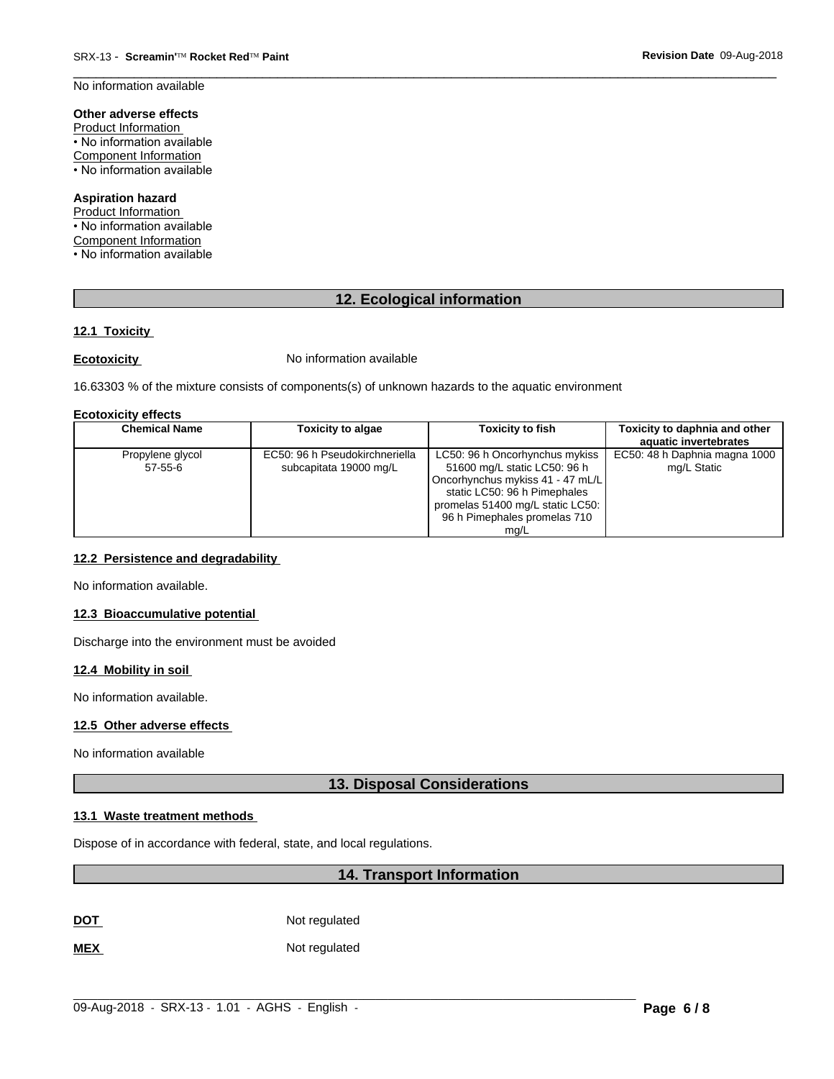$\overline{\phantom{a}}$  ,  $\overline{\phantom{a}}$  ,  $\overline{\phantom{a}}$  ,  $\overline{\phantom{a}}$  ,  $\overline{\phantom{a}}$  ,  $\overline{\phantom{a}}$  ,  $\overline{\phantom{a}}$  ,  $\overline{\phantom{a}}$  ,  $\overline{\phantom{a}}$  ,  $\overline{\phantom{a}}$  ,  $\overline{\phantom{a}}$  ,  $\overline{\phantom{a}}$  ,  $\overline{\phantom{a}}$  ,  $\overline{\phantom{a}}$  ,  $\overline{\phantom{a}}$  ,  $\overline{\phantom{a}}$ No information available

# **Other adverse effects**

Product Information • No information available Component Information • No information available

## **Aspiration hazard**

Product Information • No information available Component Information • No information available

# **12. Ecological information**

# **12.1 Toxicity**

**Ecotoxicity No information available** 

16.63303 % of the mixture consists of components(s) of unknown hazards to the aquatic environment

### **Ecotoxicity effects**

| <b>Chemical Name</b> | <b>Toxicity to algae</b>       | Toxicity to fish                 | Toxicity to daphnia and other<br>aquatic invertebrates |
|----------------------|--------------------------------|----------------------------------|--------------------------------------------------------|
|                      |                                |                                  |                                                        |
| Propylene glycol     | EC50: 96 h Pseudokirchneriella | LC50: 96 h Oncorhynchus mykiss   | EC50: 48 h Daphnia magna 1000                          |
| $57 - 55 - 6$        | subcapitata 19000 mg/L         | 51600 mg/L static LC50: 96 h     | mg/L Static                                            |
|                      |                                | Oncorhynchus mykiss 41 - 47 mL/L |                                                        |
|                      |                                | static LC50: 96 h Pimephales     |                                                        |
|                      |                                | promelas 51400 mg/L static LC50: |                                                        |
|                      |                                | 96 h Pimephales promelas 710     |                                                        |
|                      |                                | ma/L                             |                                                        |

# **12.2 Persistence and degradability**

No information available.

# **12.3 Bioaccumulative potential**

Discharge into the environment must be avoided

# **12.4 Mobility in soil**

No information available.

# **12.5 Other adverse effects**

No information available

# **13. Disposal Considerations**

# **13.1 Waste treatment methods**

Dispose of in accordance with federal, state, and local regulations.

# **14. Transport Information**

**DOT** Not regulated

**MEX** Not regulated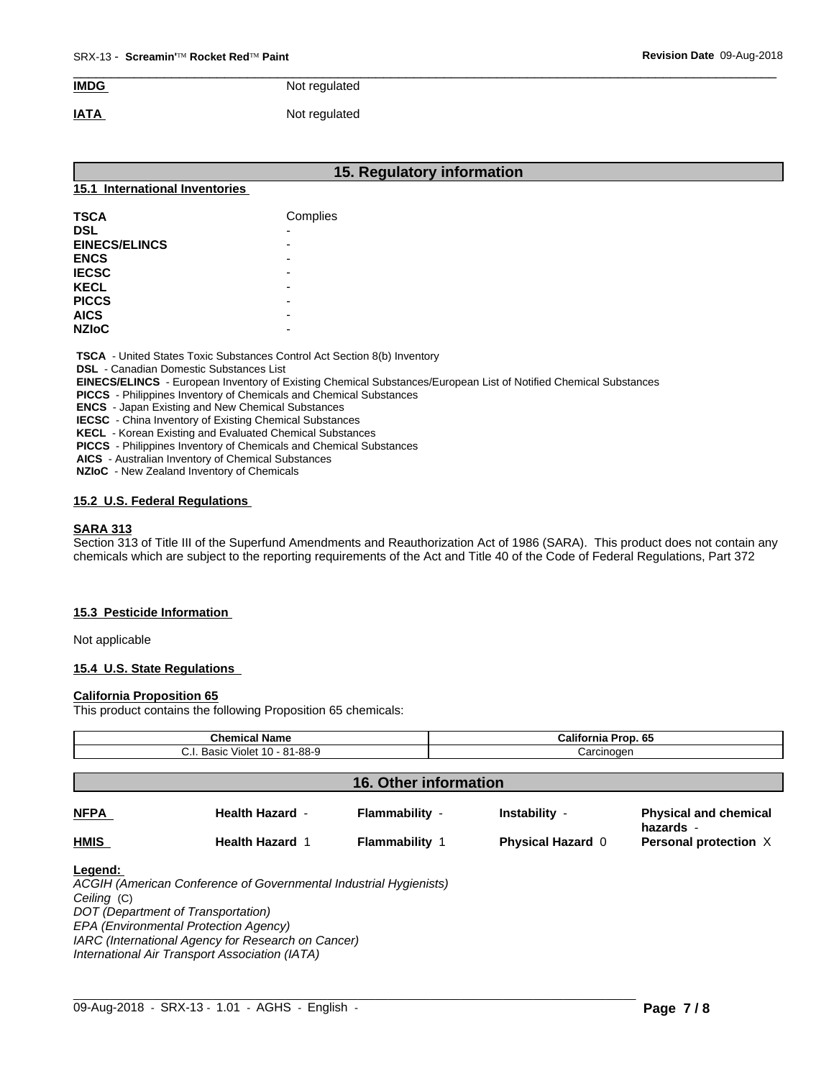# $\overline{\phantom{a}}$  ,  $\overline{\phantom{a}}$  ,  $\overline{\phantom{a}}$  ,  $\overline{\phantom{a}}$  ,  $\overline{\phantom{a}}$  ,  $\overline{\phantom{a}}$  ,  $\overline{\phantom{a}}$  ,  $\overline{\phantom{a}}$  ,  $\overline{\phantom{a}}$  ,  $\overline{\phantom{a}}$  ,  $\overline{\phantom{a}}$  ,  $\overline{\phantom{a}}$  ,  $\overline{\phantom{a}}$  ,  $\overline{\phantom{a}}$  ,  $\overline{\phantom{a}}$  ,  $\overline{\phantom{a}}$ **IMDG** Not regulated

# **IATA** Not regulated

| 15. Regulatory information     |                                                                                 |  |  |  |  |  |
|--------------------------------|---------------------------------------------------------------------------------|--|--|--|--|--|
| 15.1 International Inventories |                                                                                 |  |  |  |  |  |
| <b>TSCA</b>                    | Complies                                                                        |  |  |  |  |  |
| <b>DSL</b>                     |                                                                                 |  |  |  |  |  |
| <b>EINECS/ELINCS</b>           |                                                                                 |  |  |  |  |  |
| <b>ENCS</b>                    |                                                                                 |  |  |  |  |  |
| <b>IECSC</b>                   |                                                                                 |  |  |  |  |  |
| <b>KECL</b>                    |                                                                                 |  |  |  |  |  |
| <b>PICCS</b>                   |                                                                                 |  |  |  |  |  |
| <b>AICS</b>                    |                                                                                 |  |  |  |  |  |
| <b>NZIoC</b>                   |                                                                                 |  |  |  |  |  |
| .                              | <b>TSCA</b> - United States Toxic Substances Control Act Section 8(b) Inventory |  |  |  |  |  |

 **DSL** - Canadian Domestic Substances List

 **EINECS/ELINCS** - European Inventory of Existing Chemical Substances/European List of Notified Chemical Substances

 **PICCS** - Philippines Inventory of Chemicals and Chemical Substances

 **ENCS** - Japan Existing and New Chemical Substances

 **IECSC** - China Inventory of Existing Chemical Substances

 **KECL** - Korean Existing and Evaluated Chemical Substances

 **PICCS** - Philippines Inventory of Chemicals and Chemical Substances

 **AICS** - Australian Inventory of Chemical Substances

 **NZIoC** - New Zealand Inventory of Chemicals

# **15.2 U.S. Federal Regulations**

# **SARA 313**

Section 313 of Title III of the Superfund Amendments and Reauthorization Act of 1986 (SARA). This product does not contain any chemicals which are subject to the reporting requirements of the Act and Title 40 of the Code of Federal Regulations, Part 372

# **15.3 Pesticide Information**

Not applicable

# **15.4 U.S. State Regulations**

# **California Proposition 65**

This product contains the following Proposition 65 chemicals:

| <b>Chemical Name</b><br>C.I. Basic Violet 10 - 81-88-9 |                                                                                                         |                       | <b>California Prop. 65</b><br>Carcinogen |                                           |
|--------------------------------------------------------|---------------------------------------------------------------------------------------------------------|-----------------------|------------------------------------------|-------------------------------------------|
|                                                        |                                                                                                         |                       |                                          |                                           |
| <b>NFPA</b>                                            | <b>Health Hazard -</b>                                                                                  | Flammability -        | Instability -                            | <b>Physical and chemical</b><br>hazards - |
| <b>HMIS</b>                                            | <b>Health Hazard 1</b>                                                                                  | <b>Flammability 1</b> | <b>Physical Hazard 0</b>                 | Personal protection X                     |
| Legend:<br>Ceiling (C)                                 | ACGIH (American Conference of Governmental Industrial Hygienists)<br>DOT (Department of Transportation) |                       |                                          |                                           |
|                                                        | EPA (Environmental Protection Agency)                                                                   |                       |                                          |                                           |
|                                                        | IARC (International Agency for Research on Cancer)                                                      |                       |                                          |                                           |

 $\_$  ,  $\_$  ,  $\_$  ,  $\_$  ,  $\_$  ,  $\_$  ,  $\_$  ,  $\_$  ,  $\_$  ,  $\_$  ,  $\_$  ,  $\_$  ,  $\_$  ,  $\_$  ,  $\_$  ,  $\_$  ,  $\_$  ,  $\_$  ,  $\_$  ,  $\_$  ,  $\_$  ,  $\_$  ,  $\_$  ,  $\_$  ,  $\_$  ,  $\_$  ,  $\_$  ,  $\_$  ,  $\_$  ,  $\_$  ,  $\_$  ,  $\_$  ,  $\_$  ,  $\_$  ,  $\_$  ,  $\_$  ,  $\_$  ,

*International Air Transport Association (IATA)*